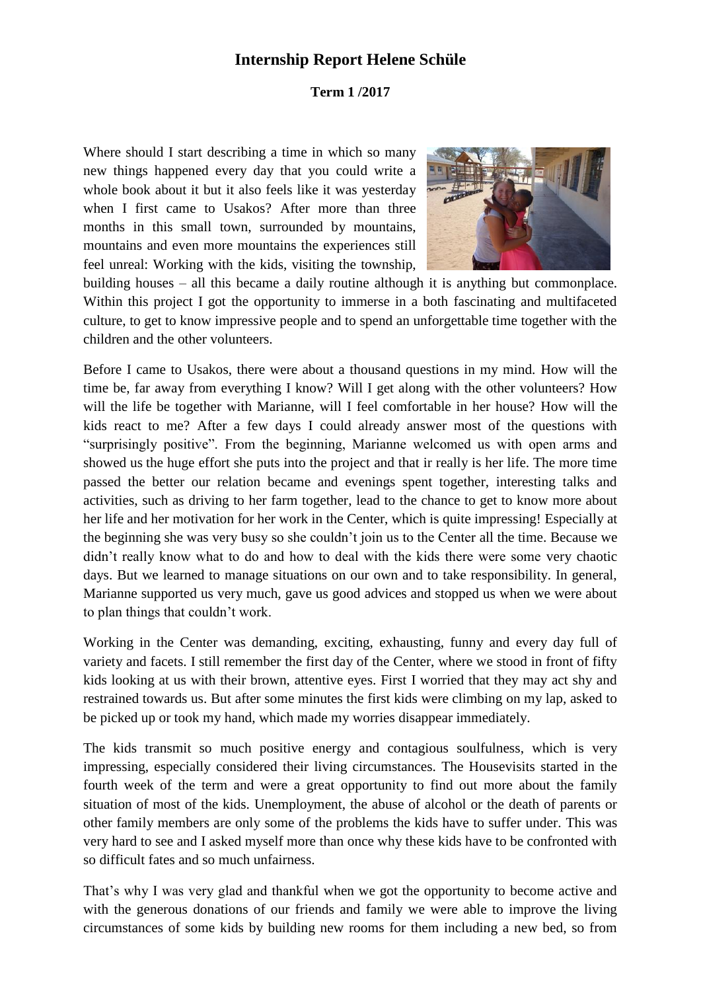## **Internship Report Helene Schüle**

## **Term 1 /2017**

Where should I start describing a time in which so many new things happened every day that you could write a whole book about it but it also feels like it was yesterday when I first came to Usakos? After more than three months in this small town, surrounded by mountains, mountains and even more mountains the experiences still feel unreal: Working with the kids, visiting the township,



building houses – all this became a daily routine although it is anything but commonplace. Within this project I got the opportunity to immerse in a both fascinating and multifaceted culture, to get to know impressive people and to spend an unforgettable time together with the children and the other volunteers.

Before I came to Usakos, there were about a thousand questions in my mind. How will the time be, far away from everything I know? Will I get along with the other volunteers? How will the life be together with Marianne, will I feel comfortable in her house? How will the kids react to me? After a few days I could already answer most of the questions with "surprisingly positive". From the beginning, Marianne welcomed us with open arms and showed us the huge effort she puts into the project and that ir really is her life. The more time passed the better our relation became and evenings spent together, interesting talks and activities, such as driving to her farm together, lead to the chance to get to know more about her life and her motivation for her work in the Center, which is quite impressing! Especially at the beginning she was very busy so she couldn't join us to the Center all the time. Because we didn't really know what to do and how to deal with the kids there were some very chaotic days. But we learned to manage situations on our own and to take responsibility. In general, Marianne supported us very much, gave us good advices and stopped us when we were about to plan things that couldn't work.

Working in the Center was demanding, exciting, exhausting, funny and every day full of variety and facets. I still remember the first day of the Center, where we stood in front of fifty kids looking at us with their brown, attentive eyes. First I worried that they may act shy and restrained towards us. But after some minutes the first kids were climbing on my lap, asked to be picked up or took my hand, which made my worries disappear immediately.

The kids transmit so much positive energy and contagious soulfulness, which is very impressing, especially considered their living circumstances. The Housevisits started in the fourth week of the term and were a great opportunity to find out more about the family situation of most of the kids. Unemployment, the abuse of alcohol or the death of parents or other family members are only some of the problems the kids have to suffer under. This was very hard to see and I asked myself more than once why these kids have to be confronted with so difficult fates and so much unfairness.

That's why I was very glad and thankful when we got the opportunity to become active and with the generous donations of our friends and family we were able to improve the living circumstances of some kids by building new rooms for them including a new bed, so from